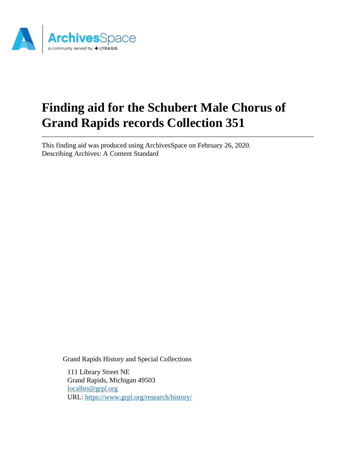

# **Finding aid for the Schubert Male Chorus of Grand Rapids records Collection 351**

This finding aid was produced using ArchivesSpace on February 26, 2020. Describing Archives: A Content Standard

Grand Rapids History and Special Collections

111 Library Street NE Grand Rapids, Michigan 49503 [localhis@grpl.org](mailto:localhis@grpl.org) URL:<https://www.grpl.org/research/history/>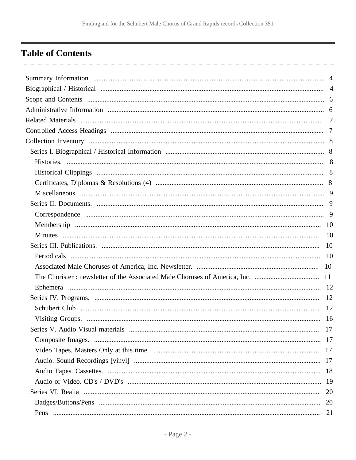# <span id="page-1-0"></span>**Table of Contents**

| Series V. Audio Visual materials | 17 |
|----------------------------------|----|
|                                  |    |
|                                  |    |
|                                  |    |
|                                  |    |
|                                  |    |
|                                  | 20 |
|                                  |    |
|                                  | 21 |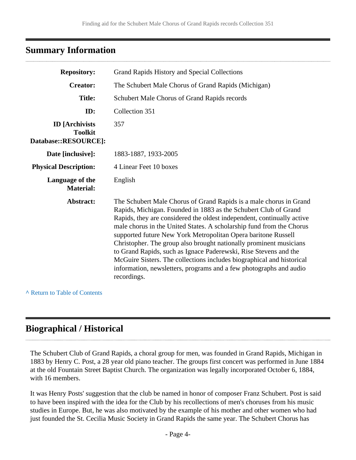## <span id="page-3-0"></span>**Summary Information**

| <b>Repository:</b>                                              | Grand Rapids History and Special Collections                                                                                                                                                                                                                                                                                                                                                                                                                                                                                                                                                                                                                     |  |  |
|-----------------------------------------------------------------|------------------------------------------------------------------------------------------------------------------------------------------------------------------------------------------------------------------------------------------------------------------------------------------------------------------------------------------------------------------------------------------------------------------------------------------------------------------------------------------------------------------------------------------------------------------------------------------------------------------------------------------------------------------|--|--|
| <b>Creator:</b>                                                 | The Schubert Male Chorus of Grand Rapids (Michigan)                                                                                                                                                                                                                                                                                                                                                                                                                                                                                                                                                                                                              |  |  |
| <b>Title:</b>                                                   | Schubert Male Chorus of Grand Rapids records                                                                                                                                                                                                                                                                                                                                                                                                                                                                                                                                                                                                                     |  |  |
| ID:                                                             | Collection 351                                                                                                                                                                                                                                                                                                                                                                                                                                                                                                                                                                                                                                                   |  |  |
| <b>ID</b> [Archivists<br><b>Toolkit</b><br>Database::RESOURCE]: | 357                                                                                                                                                                                                                                                                                                                                                                                                                                                                                                                                                                                                                                                              |  |  |
| Date [inclusive]:                                               | 1883-1887, 1933-2005                                                                                                                                                                                                                                                                                                                                                                                                                                                                                                                                                                                                                                             |  |  |
| <b>Physical Description:</b>                                    | 4 Linear Feet 10 boxes                                                                                                                                                                                                                                                                                                                                                                                                                                                                                                                                                                                                                                           |  |  |
| Language of the<br><b>Material:</b>                             | English                                                                                                                                                                                                                                                                                                                                                                                                                                                                                                                                                                                                                                                          |  |  |
| Abstract:                                                       | The Schubert Male Chorus of Grand Rapids is a male chorus in Grand<br>Rapids, Michigan. Founded in 1883 as the Schubert Club of Grand<br>Rapids, they are considered the oldest independent, continually active<br>male chorus in the United States. A scholarship fund from the Chorus<br>supported future New York Metropolitan Opera baritone Russell<br>Christopher. The group also brought nationally prominent musicians<br>to Grand Rapids, such as Ignace Paderewski, Rise Stevens and the<br>McGuire Sisters. The collections includes biographical and historical<br>information, newsletters, programs and a few photographs and audio<br>recordings. |  |  |

**^** [Return to Table of Contents](#page-1-0)

# <span id="page-3-1"></span>**Biographical / Historical**

The Schubert Club of Grand Rapids, a choral group for men, was founded in Grand Rapids, Michigan in 1883 by Henry C. Post, a 28 year old piano teacher. The groups first concert was performed in June 1884 at the old Fountain Street Baptist Church. The organization was legally incorporated October 6, 1884, with 16 members.

It was Henry Posts' suggestion that the club be named in honor of composer Franz Schubert. Post is said to have been inspired with the idea for the Club by his recollections of men's choruses from his music studies in Europe. But, he was also motivated by the example of his mother and other women who had just founded the St. Cecilia Music Society in Grand Rapids the same year. The Schubert Chorus has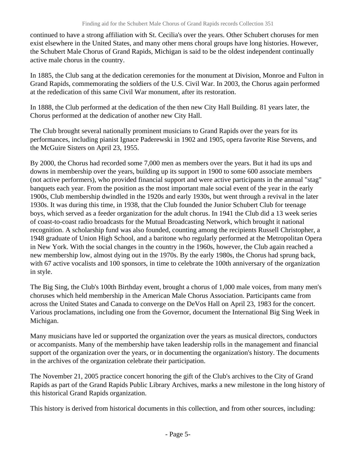continued to have a strong affiliation with St. Cecilia's over the years. Other Schubert choruses for men exist elsewhere in the United States, and many other mens choral groups have long histories. However, the Schubert Male Chorus of Grand Rapids, Michigan is said to be the oldest independent continually active male chorus in the country.

In 1885, the Club sang at the dedication ceremonies for the monument at Division, Monroe and Fulton in Grand Rapids, commemorating the soldiers of the U.S. Civil War. In 2003, the Chorus again performed at the rededication of this same Civil War monument, after its restoration.

In 1888, the Club performed at the dedication of the then new City Hall Building. 81 years later, the Chorus performed at the dedication of another new City Hall.

The Club brought several nationally prominent musicians to Grand Rapids over the years for its performances, including pianist Ignace Paderewski in 1902 and 1905, opera favorite Rise Stevens, and the McGuire Sisters on April 23, 1955.

By 2000, the Chorus had recorded some 7,000 men as members over the years. But it had its ups and downs in membership over the years, building up its support in 1900 to some 600 associate members (not active performers), who provided financial support and were active participants in the annual "stag" banquets each year. From the position as the most important male social event of the year in the early 1900s, Club membership dwindled in the 1920s and early 1930s, but went through a revival in the later 1930s. It was during this time, in 1938, that the Club founded the Junior Schubert Club for teenage boys, which served as a feeder organization for the adult chorus. In 1941 the Club did a 13 week series of coast-to-coast radio broadcasts for the Mutual Broadcasting Network, which brought it national recognition. A scholarship fund was also founded, counting among the recipients Russell Christopher, a 1948 graduate of Union High School, and a baritone who regularly performed at the Metropolitan Opera in New York. With the social changes in the country in the 1960s, however, the Club again reached a new membership low, almost dying out in the 1970s. By the early 1980s, the Chorus had sprung back, with 67 active vocalists and 100 sponsors, in time to celebrate the 100th anniversary of the organization in style.

The Big Sing, the Club's 100th Birthday event, brought a chorus of 1,000 male voices, from many men's choruses which held membership in the American Male Chorus Association. Participants came from across the United States and Canada to converge on the DeVos Hall on April 23, 1983 for the concert. Various proclamations, including one from the Governor, document the International Big Sing Week in Michigan.

Many musicians have led or supported the organization over the years as musical directors, conductors or accompanists. Many of the membership have taken leadership rolls in the management and financial support of the organization over the years, or in documenting the organization's history. The documents in the archives of the organization celebrate their participation.

The November 21, 2005 practice concert honoring the gift of the Club's archives to the City of Grand Rapids as part of the Grand Rapids Public Library Archives, marks a new milestone in the long history of this historical Grand Rapids organization.

This history is derived from historical documents in this collection, and from other sources, including: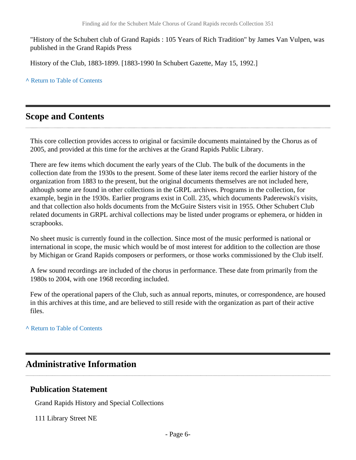"History of the Schubert club of Grand Rapids : 105 Years of Rich Tradition" by James Van Vulpen, was published in the Grand Rapids Press

History of the Club, 1883-1899. [1883-1990 In Schubert Gazette, May 15, 1992.]

**^** [Return to Table of Contents](#page-1-0)

## <span id="page-5-0"></span>**Scope and Contents**

This core collection provides access to original or facsimile documents maintained by the Chorus as of 2005, and provided at this time for the archives at the Grand Rapids Public Library.

There are few items which document the early years of the Club. The bulk of the documents in the collection date from the 1930s to the present. Some of these later items record the earlier history of the organization from 1883 to the present, but the original documents themselves are not included here, although some are found in other collections in the GRPL archives. Programs in the collection, for example, begin in the 1930s. Earlier programs exist in Coll. 235, which documents Paderewski's visits, and that collection also holds documents from the McGuire Sisters visit in 1955. Other Schubert Club related documents in GRPL archival collections may be listed under programs or ephemera, or hidden in scrapbooks.

No sheet music is currently found in the collection. Since most of the music performed is national or international in scope, the music which would be of most interest for addition to the collection are those by Michigan or Grand Rapids composers or performers, or those works commissioned by the Club itself.

A few sound recordings are included of the chorus in performance. These date from primarily from the 1980s to 2004, with one 1968 recording included.

Few of the operational papers of the Club, such as annual reports, minutes, or correspondence, are housed in this archives at this time, and are believed to still reside with the organization as part of their active files.

**^** [Return to Table of Contents](#page-1-0)

# <span id="page-5-1"></span>**Administrative Information**

#### **Publication Statement**

Grand Rapids History and Special Collections

111 Library Street NE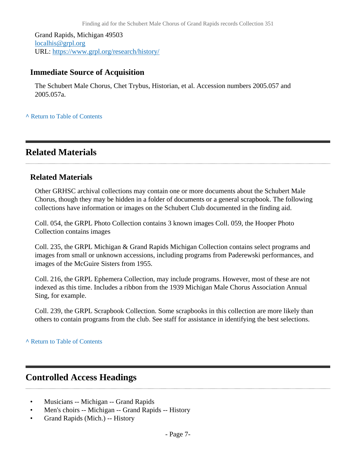Grand Rapids, Michigan 49503 [localhis@grpl.org](mailto:localhis@grpl.org) URL:<https://www.grpl.org/research/history/>

#### **Immediate Source of Acquisition**

The Schubert Male Chorus, Chet Trybus, Historian, et al. Accession numbers 2005.057 and 2005.057a.

**^** [Return to Table of Contents](#page-1-0)

## <span id="page-6-0"></span>**Related Materials**

#### **Related Materials**

Other GRHSC archival collections may contain one or more documents about the Schubert Male Chorus, though they may be hidden in a folder of documents or a general scrapbook. The following collections have information or images on the Schubert Club documented in the finding aid.

Coll. 054, the GRPL Photo Collection contains 3 known images Coll. 059, the Hooper Photo Collection contains images

Coll. 235, the GRPL Michigan & Grand Rapids Michigan Collection contains select programs and images from small or unknown accessions, including programs from Paderewski performances, and images of the McGuire Sisters from 1955.

Coll. 216, the GRPL Ephemera Collection, may include programs. However, most of these are not indexed as this time. Includes a ribbon from the 1939 Michigan Male Chorus Association Annual Sing, for example.

Coll. 239, the GRPL Scrapbook Collection. Some scrapbooks in this collection are more likely than others to contain programs from the club. See staff for assistance in identifying the best selections.

**^** [Return to Table of Contents](#page-1-0)

## <span id="page-6-1"></span>**Controlled Access Headings**

- Musicians -- Michigan -- Grand Rapids
- Men's choirs -- Michigan -- Grand Rapids -- History
- Grand Rapids (Mich.) -- History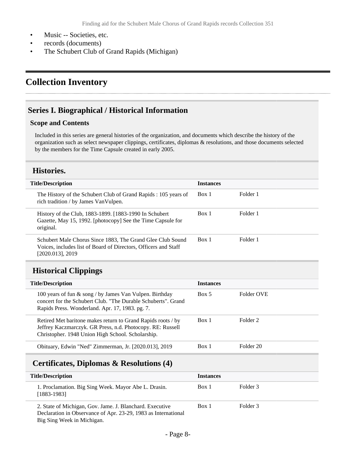- Music -- Societies, etc.
- records (documents)
- The Schubert Club of Grand Rapids (Michigan)

# <span id="page-7-0"></span>**Collection Inventory**

#### <span id="page-7-1"></span>**Series I. Biographical / Historical Information**

#### **Scope and Contents**

Included in this series are general histories of the organization, and documents which describe the history of the organization such as select newspaper clippings, certificates, diplomas & resolutions, and those documents selected by the members for the Time Capsule created in early 2005.

#### <span id="page-7-2"></span>**Histories.**

| <b>Title/Description</b>                                                                                                                          | <b>Instances</b> |          |
|---------------------------------------------------------------------------------------------------------------------------------------------------|------------------|----------|
| The History of the Schubert Club of Grand Rapids: 105 years of<br>rich tradition / by James VanVulpen.                                            | Box 1            | Folder 1 |
| History of the Club, 1883-1899. [1883-1990 In Schubert]<br>Gazette, May 15, 1992. [photocopy] See the Time Capsule for<br>original.               | Box 1            | Folder 1 |
| Schubert Male Chorus Since 1883, The Grand Glee Club Sound<br>Voices, includes list of Board of Directors, Officers and Staff<br>[2020.013], 2019 | Box 1            | Folder 1 |

## <span id="page-7-3"></span>**Historical Clippings**

| <b>Title/Description</b>                                                                                                                                                        | <b>Instances</b> |                     |
|---------------------------------------------------------------------------------------------------------------------------------------------------------------------------------|------------------|---------------------|
| 100 years of fun $\&$ song / by James Van Vulpen. Birthday<br>concert for the Schubert Club. "The Durable Schuberts". Grand<br>Rapids Press. Wonderland. Apr. 17, 1983. pg. 7.  | Box 5            | Folder OVE          |
| Retired Met baritone makes return to Grand Rapids roots / by<br>Jeffrey Kaczmarczyk. GR Press, n.d. Photocopy. RE: Russell<br>Christopher. 1948 Union High School. Scholarship. | Box 1            | Folder <sub>2</sub> |
| Obituary, Edwin "Ned" Zimmerman, Jr. [2020.013], 2019                                                                                                                           | Box 1            | Folder 20           |

## <span id="page-7-4"></span>**Certificates, Diplomas & Resolutions (4)**

| <b>Title/Description</b>                                                                                                                                 | <b>Instances</b> |          |
|----------------------------------------------------------------------------------------------------------------------------------------------------------|------------------|----------|
| 1. Proclamation. Big Sing Week. Mayor Abe L. Drasin.<br>$[1883-1983]$                                                                                    | Box 1            | Folder 3 |
| 2. State of Michigan, Gov. Jame. J. Blanchard. Executive<br>Declaration in Observance of Apr. 23-29, 1983 as International<br>Big Sing Week in Michigan. | Box 1            | Folder 3 |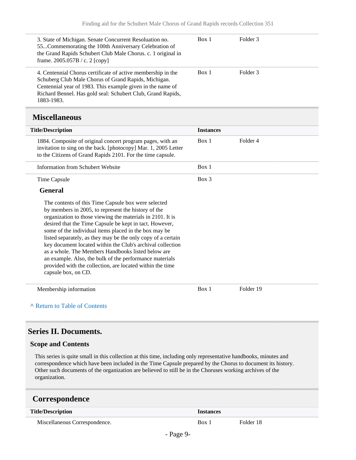<span id="page-8-0"></span>

| 3. State of Michigan. Senate Concurrent Resoluation no.<br>55Commemorating the 100th Anniversary Celebration of<br>the Grand Rapids Schubert Club Male Chorus. c. 1 original in<br>frame. 2005.057B / c. 2 [copy]                                                                                                                                                                                                                                                                                                                                                                                                               | Box 1            | Folder <sub>3</sub> |
|---------------------------------------------------------------------------------------------------------------------------------------------------------------------------------------------------------------------------------------------------------------------------------------------------------------------------------------------------------------------------------------------------------------------------------------------------------------------------------------------------------------------------------------------------------------------------------------------------------------------------------|------------------|---------------------|
| 4. Centennial Chorus certificate of active membership in the<br>Schuberg Club Male Chorus of Grand Rapids, Michigan.<br>Centennial year of 1983. This example given in the name of<br>Richard Bennel. Has gold seal: Schubert Club, Grand Rapids,<br>1883-1983.                                                                                                                                                                                                                                                                                                                                                                 | Box 1            | Folder <sub>3</sub> |
| <b>Miscellaneous</b>                                                                                                                                                                                                                                                                                                                                                                                                                                                                                                                                                                                                            |                  |                     |
| <b>Title/Description</b>                                                                                                                                                                                                                                                                                                                                                                                                                                                                                                                                                                                                        | <b>Instances</b> |                     |
| 1884. Composite of original concert program pages, with an<br>invitation to sing on the back. [photocopy] Mar. 1, 2005 Letter<br>to the Citizens of Grand Rapids 2101. For the time capsule.                                                                                                                                                                                                                                                                                                                                                                                                                                    | Box 1            | Folder <sub>4</sub> |
| <b>Information from Schubert Website</b>                                                                                                                                                                                                                                                                                                                                                                                                                                                                                                                                                                                        | Box 1            |                     |
| <b>Time Capsule</b>                                                                                                                                                                                                                                                                                                                                                                                                                                                                                                                                                                                                             | $Box$ 3          |                     |
| <b>General</b>                                                                                                                                                                                                                                                                                                                                                                                                                                                                                                                                                                                                                  |                  |                     |
| The contents of this Time Capsule box were selected<br>by members in 2005, to represent the history of the<br>organization to those viewing the materials in 2101. It is<br>desired that the Time Capsule be kept in tact. However,<br>some of the individual items placed in the box may be<br>listed separately, as they may be the only copy of a certain<br>key document located within the Club's archival collection<br>as a whole. The Members Handbooks listed below are<br>an example. Also, the bulk of the performance materials<br>provided with the collection, are located within the time<br>capsule box, on CD. |                  |                     |
| Membership information<br>A Return to Table of Contents                                                                                                                                                                                                                                                                                                                                                                                                                                                                                                                                                                         | Box 1            | Folder 19           |
|                                                                                                                                                                                                                                                                                                                                                                                                                                                                                                                                                                                                                                 |                  |                     |

## <span id="page-8-1"></span>**Series II. Documents.**

#### **Scope and Contents**

This series is quite small in this collection at this time, including only representative handbooks, minutes and correspondence which have been included in the Time Capsule prepared by the Chorus to document its history. Other such documents of the organization are believed to still be in the Choruses working archives of the organization.

## <span id="page-8-2"></span>**Correspondence**

| <b>Title/Description</b>      |                                    | <i>Instances</i> |           |
|-------------------------------|------------------------------------|------------------|-----------|
| Miscellaneous Correspondence. |                                    | Box 1            | Folder 18 |
|                               | $\sim$<br>$\overline{\phantom{a}}$ |                  |           |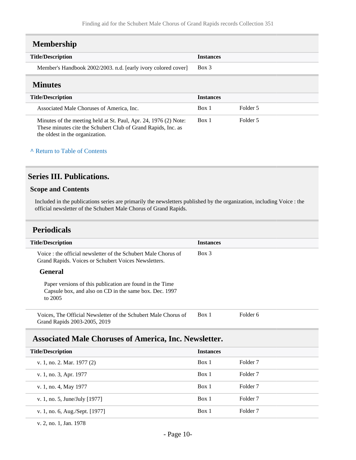<span id="page-9-1"></span><span id="page-9-0"></span>

| <b>Membership</b>                                             |                  |          |
|---------------------------------------------------------------|------------------|----------|
| <b>Title/Description</b>                                      | <b>Instances</b> |          |
| Member's Handbook 2002/2003. n.d. [early ivory colored cover] | $Box$ 3          |          |
| <b>Minutes</b>                                                |                  |          |
|                                                               |                  |          |
| <b>Title/Description</b>                                      | <b>Instances</b> |          |
| Associated Male Choruses of America, Inc.                     | Box 1            | Folder 5 |

#### **^** [Return to Table of Contents](#page-1-0)

## <span id="page-9-2"></span>**Series III. Publications.**

#### **Scope and Contents**

Included in the publications series are primarily the newsletters published by the organization, including Voice : the official newsletter of the Schubert Male Chorus of Grand Rapids.

#### <span id="page-9-3"></span>**Periodicals**

| <b>Title/Description</b>                                                                                                      | <b>Instances</b> |                     |
|-------------------------------------------------------------------------------------------------------------------------------|------------------|---------------------|
| Voice : the official newsletter of the Schubert Male Chorus of<br>Grand Rapids. Voices or Schubert Voices Newsletters.        | $Box$ 3          |                     |
| <b>General</b>                                                                                                                |                  |                     |
| Paper versions of this publication are found in the Time<br>Capsule box, and also on CD in the same box. Dec. 1997<br>to 2005 |                  |                     |
| Voices, The Official Newsletter of the Schubert Male Chorus of<br>Grand Rapids 2003-2005, 2019                                | Box 1            | Folder 6            |
| <b>Associated Male Choruses of America, Inc. Newsletter.</b>                                                                  |                  |                     |
| <b>Title/Description</b>                                                                                                      | <b>Instances</b> |                     |
| v. 1, no. 2. Mar. 1977 (2)                                                                                                    | Box 1            | Folder <sub>7</sub> |
| v. 1, no. 3, Apr. 1977                                                                                                        | Box 1            | Folder <sub>7</sub> |
| v. 1, no. 4, May 1977                                                                                                         | Box 1            | Folder 7            |
| v. 1, no. 5, June/July [1977]                                                                                                 | Box 1            | Folder <sub>7</sub> |

<span id="page-9-4"></span>v. 1, no. 6, Aug./Sept. [1977] Box 1 Folder 7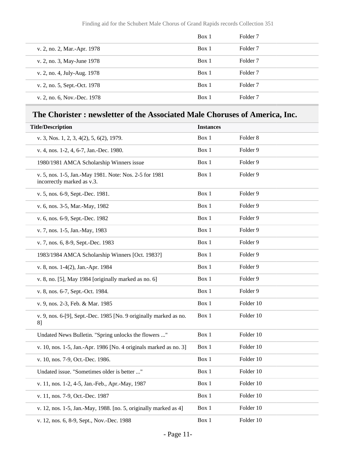|                              | Box 1 | Folder 7            |
|------------------------------|-------|---------------------|
| v. 2, no. 2, Mar.-Apr. 1978  | Box 1 | Folder <sub>7</sub> |
| v. 2, no. 3, May-June 1978   | Box 1 | Folder <sub>7</sub> |
| v. 2, no. 4, July-Aug. 1978  | Box 1 | Folder 7            |
| v. 2, no. 5, Sept.-Oct. 1978 | Box 1 | Folder <sub>7</sub> |
| v. 2, no. 6, Nov.-Dec. 1978  | Box 1 | Folder <sub>7</sub> |

# <span id="page-10-0"></span>**The Chorister : newsletter of the Associated Male Choruses of America, Inc.**

| <b>Title/Description</b>                                                             | <b>Instances</b> |                     |
|--------------------------------------------------------------------------------------|------------------|---------------------|
| v. 3, Nos. 1, 2, 3, 4(2), 5, 6(2), 1979.                                             | Box 1            | Folder <sub>8</sub> |
| v. 4, nos. 1-2, 4, 6-7, Jan.-Dec. 1980.                                              | Box 1            | Folder 9            |
| 1980/1981 AMCA Scholarship Winners issue                                             | Box 1            | Folder 9            |
| v. 5, nos. 1-5, Jan.-May 1981. Note: Nos. 2-5 for 1981<br>incorrectly marked as v.3. | Box 1            | Folder 9            |
| v. 5, nos. 6-9, Sept.-Dec. 1981.                                                     | Box 1            | Folder 9            |
| v. 6, nos. 3-5, Mar.-May, 1982                                                       | Box 1            | Folder 9            |
| v. 6, nos. 6-9, Sept.-Dec. 1982                                                      | Box 1            | Folder 9            |
| v. 7, nos. 1-5, Jan.-May, 1983                                                       | Box 1            | Folder 9            |
| v. 7, nos. 6, 8-9, Sept.-Dec. 1983                                                   | Box 1            | Folder 9            |
| 1983/1984 AMCA Scholarship Winners [Oct. 1983?]                                      | Box 1            | Folder 9            |
| v. 8, nos. 1-4(2), Jan.-Apr. 1984                                                    | Box 1            | Folder 9            |
| v. 8, no. [5], May 1984 [originally marked as no. 6]                                 | Box 1            | Folder 9            |
| v. 8, nos. 6-7, Sept.-Oct. 1984.                                                     | Box 1            | Folder 9            |
| v. 9, nos. 2-3, Feb. & Mar. 1985                                                     | Box 1            | Folder 10           |
| v. 9, nos. 6-[9], Sept.-Dec. 1985 [No. 9 originally marked as no.<br>8]              | Box 1            | Folder 10           |
| Undated News Bulletin. "Spring unlocks the flowers "                                 | Box 1            | Folder 10           |
| v. 10, nos. 1-5, Jan.-Apr. 1986 [No. 4 originals marked as no. 3]                    | Box 1            | Folder 10           |
| v. 10, nos. 7-9, Oct.-Dec. 1986.                                                     | Box 1            | Folder 10           |
| Undated issue. "Sometimes older is better "                                          | Box 1            | Folder 10           |
| v. 11, nos. 1-2, 4-5, Jan.-Feb., Apr.-May, 1987                                      | Box 1            | Folder 10           |
| v. 11, nos. 7-9, Oct.-Dec. 1987                                                      | Box 1            | Folder 10           |
| v. 12, nos. 1-5, Jan.-May, 1988. [no. 5, originally marked as 4]                     | Box 1            | Folder 10           |
| v. 12, nos. 6, 8-9, Sept., Nov.-Dec. 1988                                            | Box 1            | Folder 10           |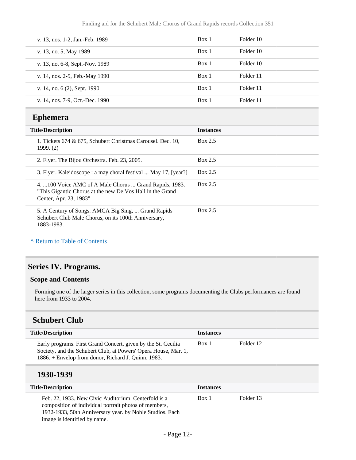| v. 13, nos. 1-2, Jan.-Feb. 1989 | Box 1 | Folder 10 |
|---------------------------------|-------|-----------|
| v. 13, no. 5, May 1989          | Box 1 | Folder 10 |
| v. 13, no. 6-8, Sept.-Nov. 1989 | Box 1 | Folder 10 |
| v. 14, nos. 2-5, Feb.-May 1990  | Box 1 | Folder 11 |
| v. 14, no. 6 (2), Sept. 1990    | Box 1 | Folder 11 |
| v. 14, nos. 7-9, Oct.-Dec. 1990 | Box 1 | Folder 11 |

## <span id="page-11-0"></span>**Ephemera**

| <b>Title/Description</b>                                                                                                                       | <b>Instances</b> |
|------------------------------------------------------------------------------------------------------------------------------------------------|------------------|
| 1. Tickets 674 & 675, Schubert Christmas Carousel. Dec. 10,<br>1999. (2)                                                                       | Box 2.5          |
| 2. Flyer. The Bijou Orchestra. Feb. 23, 2005.                                                                                                  | Box 2.5          |
| 3. Flyer. Kaleidoscope : a may choral festival  May 17, [year?]                                                                                | Box 2.5          |
| 4. 100 Voice AMC of A Male Chorus  Grand Rapids, 1983.<br>"This Gigantic Chorus at the new De Vos Hall in the Grand"<br>Center, Apr. 23, 1983" | Box 2.5          |
| 5. A Century of Songs. AMCA Big Sing,  Grand Rapids<br>Schubert Club Male Chorus, on its 100th Anniversary,<br>1883-1983.                      | Box 2.5          |

#### **^** [Return to Table of Contents](#page-1-0)

## <span id="page-11-1"></span>**Series IV. Programs.**

#### **Scope and Contents**

Forming one of the larger series in this collection, some programs documenting the Clubs performances are found here from 1933 to 2004.

## <span id="page-11-2"></span>**Schubert Club**

| <b>Title/Description</b>                                                                                                                                                                | <b>Instances</b> |           |
|-----------------------------------------------------------------------------------------------------------------------------------------------------------------------------------------|------------------|-----------|
| Early programs. First Grand Concert, given by the St. Cecilia<br>Society, and the Schubert Club, at Powers' Opera House, Mar. 1,<br>1886. + Envelop from donor, Richard J. Quinn, 1983. | Box 1            | Folder 12 |

## **1930-1939**

| <b>Title/Description</b>                                                                                                                                                                                  | <b>Instances</b> |           |
|-----------------------------------------------------------------------------------------------------------------------------------------------------------------------------------------------------------|------------------|-----------|
| Feb. 22, 1933. New Civic Auditorium. Centerfold is a<br>composition of individual portrait photos of members,<br>1932-1933, 50th Anniversary year. by Noble Studios. Each<br>image is identified by name. | Box 1            | Folder 13 |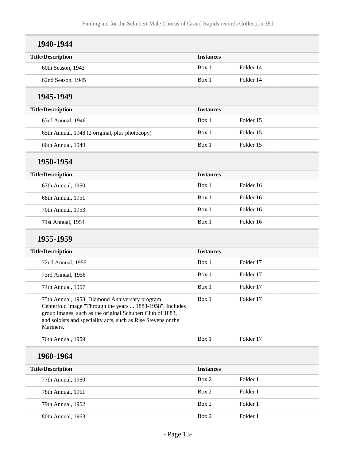| 1940-1944                                                                                                                                                                                                                                               |                  |           |
|---------------------------------------------------------------------------------------------------------------------------------------------------------------------------------------------------------------------------------------------------------|------------------|-----------|
| <b>Title/Description</b>                                                                                                                                                                                                                                | <b>Instances</b> |           |
| 60th Season, 1943                                                                                                                                                                                                                                       | Box 1            | Folder 14 |
| 62nd Season, 1945                                                                                                                                                                                                                                       | Box 1            | Folder 14 |
| 1945-1949                                                                                                                                                                                                                                               |                  |           |
| <b>Title/Description</b>                                                                                                                                                                                                                                | <b>Instances</b> |           |
| 63rd Annual, 1946                                                                                                                                                                                                                                       | Box 1            | Folder 15 |
| 65th Annual, 1948 (2 original, plus photocopy)                                                                                                                                                                                                          | Box 1            | Folder 15 |
| 66th Annual, 1949                                                                                                                                                                                                                                       | Box 1            | Folder 15 |
| 1950-1954                                                                                                                                                                                                                                               |                  |           |
| <b>Title/Description</b>                                                                                                                                                                                                                                | <b>Instances</b> |           |
| 67th Annual, 1950                                                                                                                                                                                                                                       | Box 1            | Folder 16 |
| 68th Annual, 1951                                                                                                                                                                                                                                       | Box 1            | Folder 16 |
| 70th Annual, 1953                                                                                                                                                                                                                                       | Box 1            | Folder 16 |
| 71st Annual, 1954                                                                                                                                                                                                                                       | Box 1            | Folder 16 |
| 1955-1959                                                                                                                                                                                                                                               |                  |           |
| <b>Title/Description</b>                                                                                                                                                                                                                                | <b>Instances</b> |           |
| 72nd Annual, 1955                                                                                                                                                                                                                                       | Box 1            | Folder 17 |
| 73rd Annual, 1956                                                                                                                                                                                                                                       | Box 1            | Folder 17 |
| 74th Annual, 1957                                                                                                                                                                                                                                       | Box 1            | Folder 17 |
| 75th Annual, 1958. Diamond Anniversary program.<br>Centerfold image "Through the years  1883-1958". Includes<br>group images, such as the original Schubert Club of 1883,<br>and soloists and speciality acts, such as Rise Stevens or the<br>Mariners. | Box 1            | Folder 17 |
| 76th Annual, 1959                                                                                                                                                                                                                                       | Box 1            | Folder 17 |
| 1960-1964                                                                                                                                                                                                                                               |                  |           |
| <b>Title/Description</b>                                                                                                                                                                                                                                | <b>Instances</b> |           |
| 77th Annual, 1960                                                                                                                                                                                                                                       | Box 2            | Folder 1  |
| 78th Annual, 1961                                                                                                                                                                                                                                       | Box 2            | Folder 1  |
| 79th Annual, 1962                                                                                                                                                                                                                                       | Box 2            | Folder 1  |
| 80th Annual, 1963                                                                                                                                                                                                                                       | Box 2            | Folder 1  |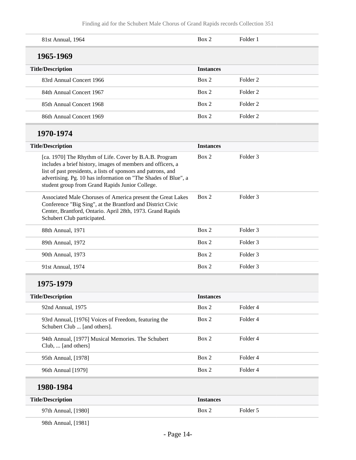| 81st Annual, 1964                                                                                                                                                                                                                                                                                           | Box 2            | Folder 1            |
|-------------------------------------------------------------------------------------------------------------------------------------------------------------------------------------------------------------------------------------------------------------------------------------------------------------|------------------|---------------------|
| 1965-1969                                                                                                                                                                                                                                                                                                   |                  |                     |
| <b>Title/Description</b>                                                                                                                                                                                                                                                                                    | <b>Instances</b> |                     |
| 83rd Annual Concert 1966                                                                                                                                                                                                                                                                                    | Box 2            | Folder <sub>2</sub> |
| 84th Annual Concert 1967                                                                                                                                                                                                                                                                                    | Box 2            | Folder <sub>2</sub> |
| 85th Annual Concert 1968                                                                                                                                                                                                                                                                                    | Box 2            | Folder <sub>2</sub> |
| 86th Annual Concert 1969                                                                                                                                                                                                                                                                                    | Box 2            | Folder <sub>2</sub> |
| 1970-1974                                                                                                                                                                                                                                                                                                   |                  |                     |
| <b>Title/Description</b>                                                                                                                                                                                                                                                                                    | <b>Instances</b> |                     |
| [ca. 1970] The Rhythm of Life. Cover by B.A.B. Program<br>includes a brief history, images of members and officers, a<br>list of past presidents, a lists of sponsors and patrons, and<br>advertising. Pg. 10 has information on "The Shades of Blue", a<br>student group from Grand Rapids Junior College. | Box 2            | Folder 3            |
| Associated Male Choruses of America present the Great Lakes<br>Conference "Big Sing", at the Brantford and District Civic<br>Center, Brantford, Ontario. April 28th, 1973. Grand Rapids<br>Schubert Club participated.                                                                                      | Box 2            | Folder <sub>3</sub> |
| 88th Annual, 1971                                                                                                                                                                                                                                                                                           | Box 2            | Folder 3            |
| 89th Annual, 1972                                                                                                                                                                                                                                                                                           | Box 2            | Folder 3            |
| 90th Annual, 1973                                                                                                                                                                                                                                                                                           | Box 2            | Folder 3            |
| 91st Annual, 1974                                                                                                                                                                                                                                                                                           | Box 2            | Folder 3            |
| 1975-1979                                                                                                                                                                                                                                                                                                   |                  |                     |
| <b>Title/Description</b>                                                                                                                                                                                                                                                                                    | <b>Instances</b> |                     |
| 92nd Annual, 1975                                                                                                                                                                                                                                                                                           | Box 2            | Folder 4            |
| 93rd Annual, [1976] Voices of Freedom, featuring the<br>Schubert Club  [and others].                                                                                                                                                                                                                        | Box 2            | Folder 4            |
| 94th Annual, [1977] Musical Memories. The Schubert<br>Club,  [and others]                                                                                                                                                                                                                                   | Box 2            | Folder 4            |
| 95th Annual, [1978]                                                                                                                                                                                                                                                                                         | Box 2            | Folder 4            |
| 96th Annual [1979]                                                                                                                                                                                                                                                                                          | Box 2            | Folder 4            |
| 1980-1984                                                                                                                                                                                                                                                                                                   |                  |                     |
| <b>Title/Description</b>                                                                                                                                                                                                                                                                                    | <b>Instances</b> |                     |
| 97th Annual, [1980]                                                                                                                                                                                                                                                                                         | Box 2            | Folder 5            |

98th Annual, [1981]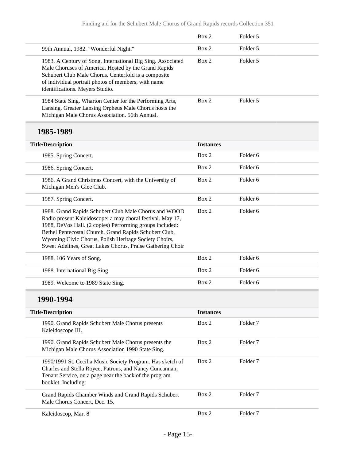|                                                                                                                                                                                                                                                                                                                                                                  | Box 2            | Folder 5            |  |
|------------------------------------------------------------------------------------------------------------------------------------------------------------------------------------------------------------------------------------------------------------------------------------------------------------------------------------------------------------------|------------------|---------------------|--|
| 99th Annual, 1982. "Wonderful Night."                                                                                                                                                                                                                                                                                                                            | Box 2            | Folder 5            |  |
| 1983. A Century of Song, International Big Sing. Associated<br>Male Choruses of America. Hosted by the Grand Rapids<br>Schubert Club Male Chorus. Centerfold is a composite<br>of individual portrait photos of members, with name<br>identifications. Meyers Studio.                                                                                            | Box 2            | Folder 5            |  |
| 1984 State Sing. Wharton Center for the Performing Arts,<br>Lansing. Greater Lansing Orpheus Male Chorus hosts the<br>Michigan Male Chorus Association. 56th Annual.                                                                                                                                                                                             | Box 2            | Folder 5            |  |
| 1985-1989                                                                                                                                                                                                                                                                                                                                                        |                  |                     |  |
| <b>Title/Description</b>                                                                                                                                                                                                                                                                                                                                         | <b>Instances</b> |                     |  |
| 1985. Spring Concert.                                                                                                                                                                                                                                                                                                                                            | Box 2            | Folder <sub>6</sub> |  |
| 1986. Spring Concert.                                                                                                                                                                                                                                                                                                                                            | Box 2            | Folder <sub>6</sub> |  |
| 1986. A Grand Christmas Concert, with the University of<br>Michigan Men's Glee Club.                                                                                                                                                                                                                                                                             | Box 2            | Folder <sub>6</sub> |  |
| 1987. Spring Concert.                                                                                                                                                                                                                                                                                                                                            | Box 2            | Folder <sub>6</sub> |  |
| 1988. Grand Rapids Schubert Club Male Chorus and WOOD<br>Radio present Kaleidoscope: a may choral festival. May 17,<br>1988, DeVos Hall. (2 copies) Performing groups included:<br>Bethel Pentecostal Church, Grand Rapids Schubert Club,<br>Wyoming Civic Chorus, Polish Heritage Society Choirs,<br>Sweet Adelines, Great Lakes Chorus, Praise Gathering Choir | Box 2            | Folder <sub>6</sub> |  |
| 1988. 106 Years of Song.                                                                                                                                                                                                                                                                                                                                         | Box 2            | Folder <sub>6</sub> |  |
| 1988. International Big Sing                                                                                                                                                                                                                                                                                                                                     | Box 2            | Folder <sub>6</sub> |  |
| 1989. Welcome to 1989 State Sing.                                                                                                                                                                                                                                                                                                                                | Box 2            | Folder <sub>6</sub> |  |
| 1990-1994                                                                                                                                                                                                                                                                                                                                                        |                  |                     |  |
| <b>Title/Description</b>                                                                                                                                                                                                                                                                                                                                         | <b>Instances</b> |                     |  |
| 1990. Grand Rapids Schubert Male Chorus presents<br>Kaleidoscope III.                                                                                                                                                                                                                                                                                            | Box 2            | Folder <sub>7</sub> |  |
| 1990. Grand Rapids Schubert Male Chorus presents the<br>Michigan Male Chorus Association 1990 State Sing.                                                                                                                                                                                                                                                        | Box 2            | Folder <sub>7</sub> |  |
| 1990/1991 St. Cecilia Music Society Program. Has sketch of<br>Charles and Stella Royce, Patrons, and Nancy Cuncannan,<br>Tenant Service, on a page near the back of the program<br>booklet. Including:                                                                                                                                                           | Box 2            | Folder <sub>7</sub> |  |
| Grand Rapids Chamber Winds and Grand Rapids Schubert                                                                                                                                                                                                                                                                                                             | Box 2            | Folder <sub>7</sub> |  |

Male Chorus Concert, Dec. 15.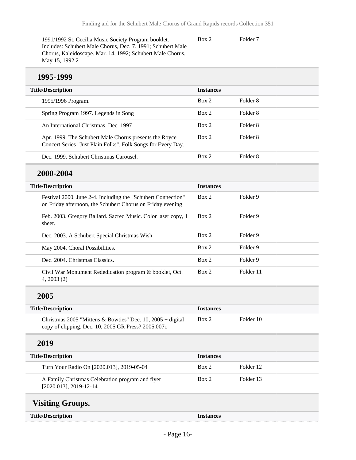1991/1992 St. Cecilia Music Society Program booklet. Includes: Schubert Male Chorus, Dec. 7. 1991; Schubert Male Chorus, Kaleidoscape. Mar. 14, 1992; Schubert Male Chorus, May 15, 1992 2 Box 2 Folder 7

#### **1995-1999**

| <b>Title/Description</b>                                                                                               | <b>Instances</b> |          |
|------------------------------------------------------------------------------------------------------------------------|------------------|----------|
| 1995/1996 Program.                                                                                                     | Box 2            | Folder 8 |
| Spring Program 1997. Legends in Song                                                                                   | Box 2            | Folder 8 |
| An International Christmas, Dec. 1997                                                                                  | Box 2            | Folder 8 |
| Apr. 1999. The Schubert Male Chorus presents the Royce<br>Concert Series "Just Plain Folks". Folk Songs for Every Day. | Box 2            | Folder 8 |
| Dec. 1999. Schubert Christmas Carousel.                                                                                | Box 2            | Folder 8 |

## **2000-2004**

| <b>Title/Description</b>                                                                                                   | <b>Instances</b> |           |
|----------------------------------------------------------------------------------------------------------------------------|------------------|-----------|
| Festival 2000, June 2-4. Including the "Schubert Connection"<br>on Friday afternoon, the Schubert Chorus on Friday evening | Box 2            | Folder 9  |
| Feb. 2003. Gregory Ballard. Sacred Music. Color laser copy, 1<br>sheet.                                                    | Box 2            | Folder 9  |
| Dec. 2003. A Schubert Special Christmas Wish                                                                               | Box 2            | Folder 9  |
| May 2004. Choral Possibilities.                                                                                            | Box 2            | Folder 9  |
| Dec. 2004. Christmas Classics.                                                                                             | Box 2            | Folder 9  |
| Civil War Monument Rededication program & booklet, Oct.<br>4, 2003(2)                                                      | Box 2            | Folder 11 |

## **2005**

<span id="page-15-0"></span>

| <b>Title/Description</b>                                                                                          | <b>Instances</b> |           |
|-------------------------------------------------------------------------------------------------------------------|------------------|-----------|
| Christmas 2005 "Mittens & Bowties" Dec. 10, 2005 + digital<br>copy of clipping. Dec. 10, 2005 GR Press? 2005.007c | Box 2            | Folder 10 |
| 2019                                                                                                              |                  |           |
| <b>Title/Description</b>                                                                                          | <b>Instances</b> |           |
| Turn Your Radio On [2020.013], 2019-05-04                                                                         | Box 2            | Folder 12 |
| A Family Christmas Celebration program and flyer<br>$[2020.013]$ , 2019-12-14                                     | Box 2            | Folder 13 |
| <b>Visiting Groups.</b>                                                                                           |                  |           |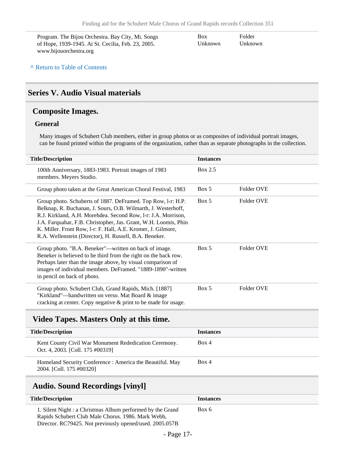Program. The Bijou Orchestra. Bay City, Mi. Songs of Hope, 1939-1945. At St. Cecilia, Feb. 23, 2005. www.bijouorchestra.org

Box Unknown

Folder Unknown

#### **^** [Return to Table of Contents](#page-1-0)

#### <span id="page-16-0"></span>**Series V. Audio Visual materials**

#### <span id="page-16-1"></span>**Composite Images.**

#### **General**

Many images of Schubert Club members, either in group photos or as composites of individual portrait images, can be found printed within the programs of the organization, rather than as separate photographs in the collection.

| <b>Title/Description</b>                                                                                                                                                                                                                                                                                                                                                                    | <b>Instances</b> |            |
|---------------------------------------------------------------------------------------------------------------------------------------------------------------------------------------------------------------------------------------------------------------------------------------------------------------------------------------------------------------------------------------------|------------------|------------|
| 100th Anniversary, 1883-1983. Portrait images of 1983<br>members. Meyers Studio.                                                                                                                                                                                                                                                                                                            | Box 2.5          |            |
| Group photo taken at the Great American Choral Festival, 1983                                                                                                                                                                                                                                                                                                                               | Box 5            | Folder OVE |
| Group photo. Schuberts of 1887. DeFramed. Top Row, 1-r: H.P.<br>Belknap, R. Buchanan, J. Sours, O.B. Wilmarth, J. Westerhoff,<br>R.J. Kirkland, A.H. Morehdea. Second Row, 1-r: J.A. Morrison,<br>J.A. Farquahar, F.B. Christopher, Jas. Grant, W.H. Loomis, Phin<br>K. Miller. Front Row, 1-r: F. Hall, A.E. Kromer, J. Gilmore,<br>R.A. Wellenstein (Director), H. Russell, B.A. Beneker. | Box 5            | Folder OVE |
| Group photo. "B.A. Beneker"—written on back of image.<br>Beneker is believed to be third from the right on the back row.<br>Perhaps later than the image above, by visual comparison of<br>images of individual members. DeFramed. "1889-1890"-written<br>in pencil on back of photo.                                                                                                       | Box 5            | Folder OVE |
| Group photo. Schubert Club, Grand Rapids, Mich. [1887]<br>"Kirkland"—handwritten on verso. Mat Board & image<br>cracking at center. Copy negative & print to be made for usage.                                                                                                                                                                                                             | Box 5            | Folder OVE |

#### <span id="page-16-2"></span>**Video Tapes. Masters Only at this time.**

| <b>Title/Description</b>                                                                  | <b>Instances</b> |
|-------------------------------------------------------------------------------------------|------------------|
| Kent County Civil War Monument Rededication Ceremony.<br>Oct. 4, 2003. [Coll. 175 #00319] | Box 4            |
| Homeland Security Conference: America the Beautiful. May<br>2004. [Coll. 175 #00320]      | Box 4            |

## <span id="page-16-3"></span>**Audio. Sound Recordings [vinyl]**

| <b>Title/Description</b>                                                                                                                                                     | <b>Instances</b> |
|------------------------------------------------------------------------------------------------------------------------------------------------------------------------------|------------------|
| 1. Silent Night : a Christmas Album performed by the Grand<br>Rapids Schubert Club Male Chorus. 1986. Mark Webb.<br>Director. RC79425. Not previously opened/used. 2005.057B | Box 6            |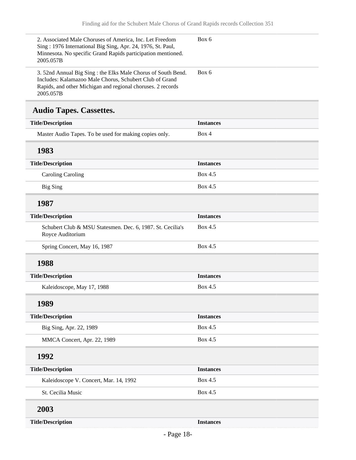<span id="page-17-0"></span>

| 2. Associated Male Choruses of America, Inc. Let Freedom<br>Sing: 1976 International Big Sing, Apr. 24, 1976, St. Paul,<br>Minnesota. No specific Grand Rapids participation mentioned.<br>2005.057B | Box 6            |
|------------------------------------------------------------------------------------------------------------------------------------------------------------------------------------------------------|------------------|
| 3. 52nd Annual Big Sing : the Elks Male Chorus of South Bend.<br>Includes: Kalamazoo Male Chorus, Schubert Club of Grand<br>Rapids, and other Michigan and regional choruses. 2 records<br>2005.057B | Box 6            |
| <b>Audio Tapes. Cassettes.</b>                                                                                                                                                                       |                  |
| <b>Title/Description</b>                                                                                                                                                                             | <b>Instances</b> |
| Master Audio Tapes. To be used for making copies only.                                                                                                                                               | Box 4            |
| 1983                                                                                                                                                                                                 |                  |
| <b>Title/Description</b>                                                                                                                                                                             | <b>Instances</b> |
| <b>Caroling Caroling</b>                                                                                                                                                                             | Box 4.5          |
| <b>Big Sing</b>                                                                                                                                                                                      | Box 4.5          |
| 1987                                                                                                                                                                                                 |                  |
| <b>Title/Description</b>                                                                                                                                                                             | <b>Instances</b> |
| Schubert Club & MSU Statesmen. Dec. 6, 1987. St. Cecilia's<br>Royce Auditorium                                                                                                                       | Box 4.5          |
| Spring Concert, May 16, 1987                                                                                                                                                                         | Box 4.5          |
| 1988                                                                                                                                                                                                 |                  |
| <b>Title/Description</b>                                                                                                                                                                             | <b>Instances</b> |
| Kaleidoscope, May 17, 1988                                                                                                                                                                           | Box 4.5          |
| 1989                                                                                                                                                                                                 |                  |
| <b>Title/Description</b>                                                                                                                                                                             | <b>Instances</b> |
| Big Sing, Apr. 22, 1989                                                                                                                                                                              | Box 4.5          |
| MMCA Concert, Apr. 22, 1989                                                                                                                                                                          | Box 4.5          |
| 1992                                                                                                                                                                                                 |                  |
| <b>Title/Description</b>                                                                                                                                                                             | <b>Instances</b> |
| Kaleidoscope V. Concert, Mar. 14, 1992                                                                                                                                                               | Box 4.5          |
| St. Cecilia Music                                                                                                                                                                                    | Box 4.5          |
| 2003                                                                                                                                                                                                 |                  |
| <b>Title/Description</b>                                                                                                                                                                             | <b>Instances</b> |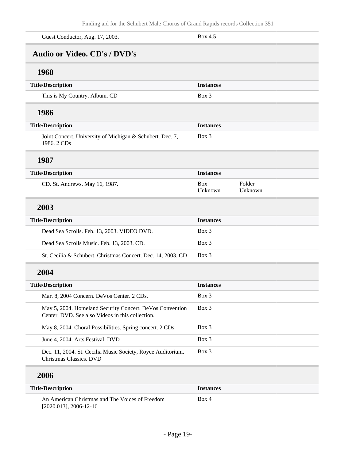<span id="page-18-0"></span>

| Box 4.5                                                               |
|-----------------------------------------------------------------------|
|                                                                       |
|                                                                       |
| <b>Instances</b>                                                      |
| Box 3                                                                 |
|                                                                       |
| <b>Instances</b>                                                      |
| Box 3                                                                 |
|                                                                       |
| <b>Instances</b>                                                      |
| Folder<br>Box<br>Unknown<br>Unknown                                   |
|                                                                       |
| <b>Instances</b>                                                      |
| Box 3                                                                 |
| Box 3                                                                 |
| Box 3<br>St. Cecilia & Schubert. Christmas Concert. Dec. 14, 2003. CD |
|                                                                       |
| <b>Instances</b>                                                      |
| Box 3                                                                 |
| Box 3<br>May 5, 2004. Homeland Security Concert. DeVos Convention     |
| Box 3                                                                 |
| Box 3                                                                 |
| Box 3                                                                 |
|                                                                       |
|                                                                       |
|                                                                       |

| <b>Title/Description</b>                        | <b>Instances</b> |
|-------------------------------------------------|------------------|
| An American Christmas and The Voices of Freedom | Box 4            |
| $[2020.013]$ , 2006-12-16                       |                  |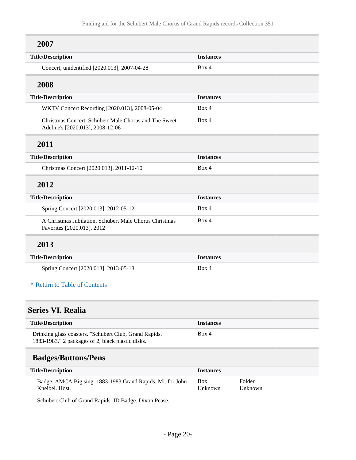# **2007**

| <b>Title/Description</b>                                                                  | <b>Instances</b> |
|-------------------------------------------------------------------------------------------|------------------|
| Concert, unidentified [2020.013], 2007-04-28                                              | Box 4            |
| 2008                                                                                      |                  |
| <b>Title/Description</b>                                                                  | <b>Instances</b> |
| WKTV Concert Recording [2020.013], 2008-05-04                                             | Box 4            |
| Christmas Concert, Schubert Male Chorus and The Sweet<br>Adeline's [2020.013], 2008-12-06 | Box 4            |
| 2011                                                                                      |                  |
| <b>Title/Description</b>                                                                  | <b>Instances</b> |
| Christmas Concert [2020.013], 2011-12-10                                                  | Box 4            |
| 2012                                                                                      |                  |
| <b>Title/Description</b>                                                                  | <b>Instances</b> |
| Spring Concert [2020.013], 2012-05-12                                                     | Box 4            |
| A Christmas Jubilation, Schubert Male Chorus Christmas<br>Favorites [2020.013], 2012      | Box 4            |
| 2013                                                                                      |                  |
| <b>Title/Description</b>                                                                  | <b>Instances</b> |
| Spring Concert [2020.013], 2013-05-18                                                     | Box 4            |
| A Return to Table of Contents                                                             |                  |
| <b>Series VI. Realia</b>                                                                  |                  |
| <b>Title/Description</b>                                                                  | <b>Instances</b> |

<span id="page-19-0"></span>

| <b>THUM DESCRIPTION</b>                                | moduces |
|--------------------------------------------------------|---------|
| Drinking glass coasters. "Schubert Club, Grand Rapids. | Box 4   |
| 1883-1983." 2 packages of 2, black plastic disks.      |         |

## <span id="page-19-1"></span>**Badges/Buttons/Pens**

| <b>Title/Description</b>                                   | <b>Instances</b> |         |
|------------------------------------------------------------|------------------|---------|
| Badge. AMCA Big sing. 1883-1983 Grand Rapids, Mi. for John | <b>Box</b>       | Folder  |
| Kneibel. Host.                                             | Unknown          | Unknown |

Schubert Club of Grand Rapids. ID Badge. Dixon Pease.